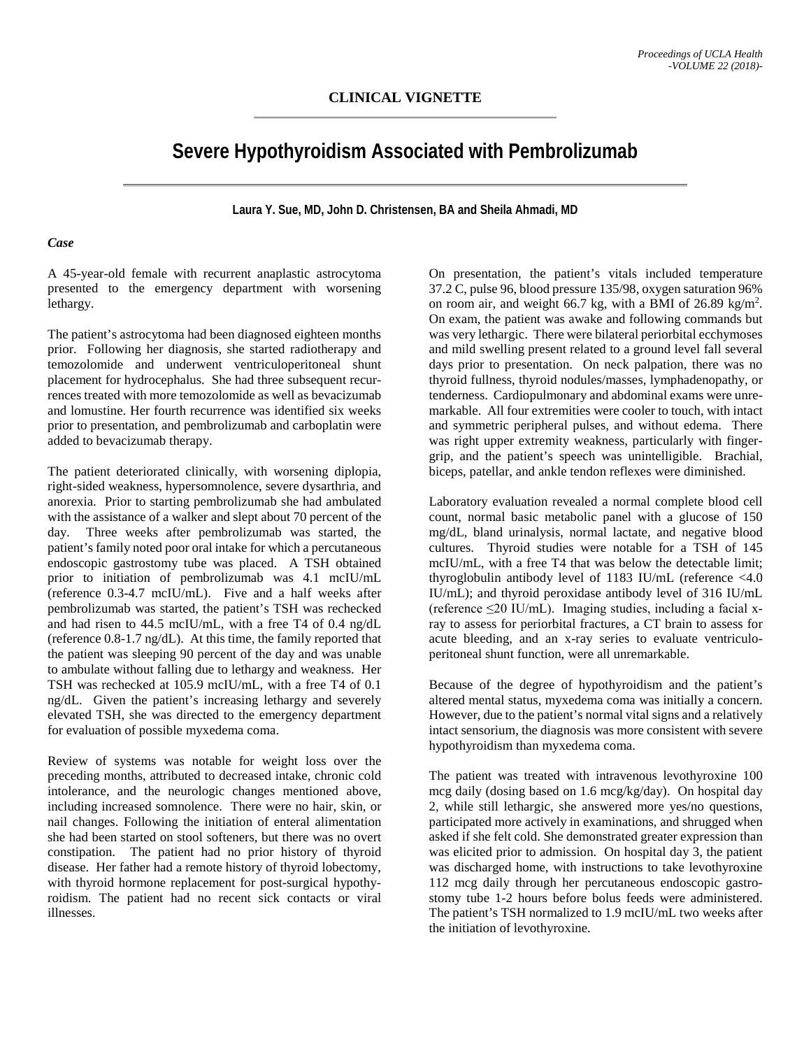## **CLINICAL VIGNETTE**

# **Severe Hypothyroidism Associated with Pembrolizumab**

**Laura Y. Sue, MD, John D. Christensen, BA and Sheila Ahmadi, MD**

#### *Case*

A 45-year-old female with recurrent anaplastic astrocytoma presented to the emergency department with worsening lethargy.

The patient's astrocytoma had been diagnosed eighteen months prior. Following her diagnosis, she started radiotherapy and temozolomide and underwent ventriculoperitoneal shunt placement for hydrocephalus. She had three subsequent recurrences treated with more temozolomide as well as bevacizumab and lomustine. Her fourth recurrence was identified six weeks prior to presentation, and pembrolizumab and carboplatin were added to bevacizumab therapy.

The patient deteriorated clinically, with worsening diplopia, right-sided weakness, hypersomnolence, severe dysarthria, and anorexia. Prior to starting pembrolizumab she had ambulated with the assistance of a walker and slept about 70 percent of the day. Three weeks after pembrolizumab was started, the patient's family noted poor oral intake for which a percutaneous endoscopic gastrostomy tube was placed. A TSH obtained prior to initiation of pembrolizumab was 4.1 mcIU/mL (reference 0.3-4.7 mcIU/mL). Five and a half weeks after pembrolizumab was started, the patient's TSH was rechecked and had risen to 44.5 mcIU/mL, with a free T4 of 0.4 ng/dL (reference 0.8-1.7 ng/dL). At this time, the family reported that the patient was sleeping 90 percent of the day and was unable to ambulate without falling due to lethargy and weakness. Her TSH was rechecked at 105.9 mcIU/mL, with a free T4 of 0.1 ng/dL. Given the patient's increasing lethargy and severely elevated TSH, she was directed to the emergency department for evaluation of possible myxedema coma.

Review of systems was notable for weight loss over the preceding months, attributed to decreased intake, chronic cold intolerance, and the neurologic changes mentioned above, including increased somnolence. There were no hair, skin, or nail changes. Following the initiation of enteral alimentation she had been started on stool softeners, but there was no overt constipation. The patient had no prior history of thyroid disease. Her father had a remote history of thyroid lobectomy, with thyroid hormone replacement for post-surgical hypothyroidism. The patient had no recent sick contacts or viral illnesses.

On presentation, the patient's vitals included temperature 37.2 C, pulse 96, blood pressure 135/98, oxygen saturation 96% on room air, and weight 66.7 kg, with a BMI of 26.89 kg/m<sup>2</sup>. On exam, the patient was awake and following commands but was very lethargic. There were bilateral periorbital ecchymoses and mild swelling present related to a ground level fall several days prior to presentation. On neck palpation, there was no thyroid fullness, thyroid nodules/masses, lymphadenopathy, or tenderness. Cardiopulmonary and abdominal exams were unremarkable. All four extremities were cooler to touch, with intact and symmetric peripheral pulses, and without edema. There was right upper extremity weakness, particularly with fingergrip, and the patient's speech was unintelligible. Brachial, biceps, patellar, and ankle tendon reflexes were diminished.

Laboratory evaluation revealed a normal complete blood cell count, normal basic metabolic panel with a glucose of 150 mg/dL, bland urinalysis, normal lactate, and negative blood cultures. Thyroid studies were notable for a TSH of 145 mcIU/mL, with a free T4 that was below the detectable limit; thyroglobulin antibody level of 1183 IU/mL (reference <4.0 IU/mL); and thyroid peroxidase antibody level of 316 IU/mL (reference  $\leq$ 20 IU/mL). Imaging studies, including a facial xray to assess for periorbital fractures, a CT brain to assess for acute bleeding, and an x-ray series to evaluate ventriculoperitoneal shunt function, were all unremarkable.

Because of the degree of hypothyroidism and the patient's altered mental status, myxedema coma was initially a concern. However, due to the patient's normal vital signs and a relatively intact sensorium, the diagnosis was more consistent with severe hypothyroidism than myxedema coma.

The patient was treated with intravenous levothyroxine 100 mcg daily (dosing based on 1.6 mcg/kg/day). On hospital day 2, while still lethargic, she answered more yes/no questions, participated more actively in examinations, and shrugged when asked if she felt cold. She demonstrated greater expression than was elicited prior to admission. On hospital day 3, the patient was discharged home, with instructions to take levothyroxine 112 mcg daily through her percutaneous endoscopic gastrostomy tube 1-2 hours before bolus feeds were administered. The patient's TSH normalized to 1.9 mcIU/mL two weeks after the initiation of levothyroxine.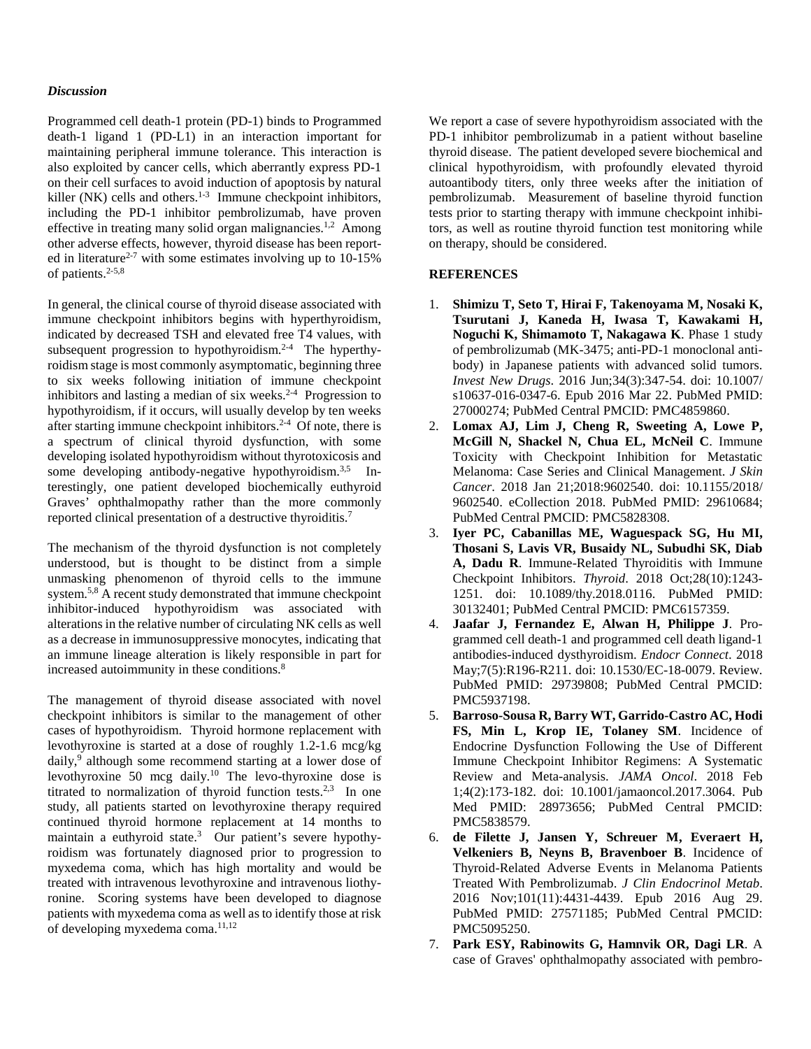#### *Discussion*

Programmed cell death-1 protein (PD-1) binds to Programmed death-1 ligand 1 (PD-L1) in an interaction important for maintaining peripheral immune tolerance. This interaction is also exploited by cancer cells, which aberrantly express PD-1 on their cell surfaces to avoid induction of apoptosis by natural killer (NK) cells and others. $1-3$  Immune checkpoint inhibitors, including the PD-1 inhibitor pembrolizumab, have proven effective in treating many solid organ malignancies.<sup>1,2</sup> Among other adverse effects, however, thyroid disease has been reported in literature<sup>2-7</sup> with some estimates involving up to  $10-15%$ of patients.<sup>2-5,8</sup>

In general, the clinical course of thyroid disease associated with immune checkpoint inhibitors begins with hyperthyroidism, indicated by decreased TSH and elevated free T4 values, with subsequent progression to hypothyroidism.<sup>2-4</sup> The hyperthyroidism stage is most commonly asymptomatic, beginning three to six weeks following initiation of immune checkpoint inhibitors and lasting a median of six weeks.<sup>2-4</sup> Progression to hypothyroidism, if it occurs, will usually develop by ten weeks after starting immune checkpoint inhibitors. 2-4 Of note, there is a spectrum of clinical thyroid dysfunction, with some developing isolated hypothyroidism without thyrotoxicosis and some developing antibody-negative hypothyroidism.<sup>3,5</sup> Interestingly, one patient developed biochemically euthyroid Graves' ophthalmopathy rather than the more commonly reported clinical presentation of a destructive thyroiditis.<sup>7</sup>

The mechanism of the thyroid dysfunction is not completely understood, but is thought to be distinct from a simple unmasking phenomenon of thyroid cells to the immune system.5,8 A recent study demonstrated that immune checkpoint inhibitor-induced hypothyroidism was associated with alterations in the relative number of circulating NK cells as well as a decrease in immunosuppressive monocytes, indicating that an immune lineage alteration is likely responsible in part for increased autoimmunity in these conditions.<sup>8</sup>

The management of thyroid disease associated with novel checkpoint inhibitors is similar to the management of other cases of hypothyroidism. Thyroid hormone replacement with levothyroxine is started at a dose of roughly 1.2-1.6 mcg/kg daily, <sup>9</sup> although some recommend starting at a lower dose of levothyroxine 50 mcg daily. <sup>10</sup> The levo-thyroxine dose is titrated to normalization of thyroid function tests.<sup>2,3</sup> In one study, all patients started on levothyroxine therapy required continued thyroid hormone replacement at 14 months to maintain a euthyroid state.<sup>3</sup> Our patient's severe hypothyroidism was fortunately diagnosed prior to progression to myxedema coma, which has high mortality and would be treated with intravenous levothyroxine and intravenous liothyronine. Scoring systems have been developed to diagnose patients with myxedema coma as well as to identify those at risk of developing myxedema coma. 11,12

We report a case of severe hypothyroidism associated with the PD-1 inhibitor pembrolizumab in a patient without baseline thyroid disease. The patient developed severe biochemical and clinical hypothyroidism, with profoundly elevated thyroid autoantibody titers, only three weeks after the initiation of pembrolizumab. Measurement of baseline thyroid function tests prior to starting therapy with immune checkpoint inhibitors, as well as routine thyroid function test monitoring while on therapy, should be considered.

### **REFERENCES**

- 1. **Shimizu T, Seto T, Hirai F, Takenoyama M, Nosaki K, Tsurutani J, Kaneda H, Iwasa T, Kawakami H, Noguchi K, Shimamoto T, Nakagawa K**. Phase 1 study of pembrolizumab (MK-3475; anti-PD-1 monoclonal antibody) in Japanese patients with advanced solid tumors. *Invest New Drugs*. 2016 Jun;34(3):347-54. doi: 10.1007/ s10637-016-0347-6. Epub 2016 Mar 22. PubMed PMID: 27000274; PubMed Central PMCID: PMC4859860.
- 2. **Lomax AJ, Lim J, Cheng R, Sweeting A, Lowe P, McGill N, Shackel N, Chua EL, McNeil C**. Immune Toxicity with Checkpoint Inhibition for Metastatic Melanoma: Case Series and Clinical Management. *J Skin Cancer*. 2018 Jan 21;2018:9602540. doi: 10.1155/2018/ 9602540. eCollection 2018. PubMed PMID: 29610684; PubMed Central PMCID: PMC5828308.
- 3. **Iyer PC, Cabanillas ME, Waguespack SG, Hu MI, Thosani S, Lavis VR, Busaidy NL, Subudhi SK, Diab A, Dadu R**. Immune-Related Thyroiditis with Immune Checkpoint Inhibitors. *Thyroid*. 2018 Oct;28(10):1243- 1251. doi: 10.1089/thy.2018.0116. PubMed PMID: 30132401; PubMed Central PMCID: PMC6157359.
- 4. **Jaafar J, Fernandez E, Alwan H, Philippe J**. Programmed cell death-1 and programmed cell death ligand-1 antibodies-induced dysthyroidism. *Endocr Connect*. 2018 May;7(5):R196-R211. doi: 10.1530/EC-18-0079. Review. PubMed PMID: 29739808; PubMed Central PMCID: PMC5937198.
- 5. **Barroso-Sousa R, Barry WT, Garrido-Castro AC, Hodi FS, Min L, Krop IE, Tolaney SM**. Incidence of Endocrine Dysfunction Following the Use of Different Immune Checkpoint Inhibitor Regimens: A Systematic Review and Meta-analysis. *JAMA Oncol*. 2018 Feb 1;4(2):173-182. doi: 10.1001/jamaoncol.2017.3064. Pub Med PMID: 28973656; PubMed Central PMCID: PMC5838579.
- 6. **de Filette J, Jansen Y, Schreuer M, Everaert H, Velkeniers B, Neyns B, Bravenboer B**. Incidence of Thyroid-Related Adverse Events in Melanoma Patients Treated With Pembrolizumab. *J Clin Endocrinol Metab*. 2016 Nov;101(11):4431-4439. Epub 2016 Aug 29. PubMed PMID: 27571185; PubMed Central PMCID: PMC5095250.
- 7. **Park ESY, Rabinowits G, Hamnvik OR, Dagi LR**. A case of Graves' ophthalmopathy associated with pembro-